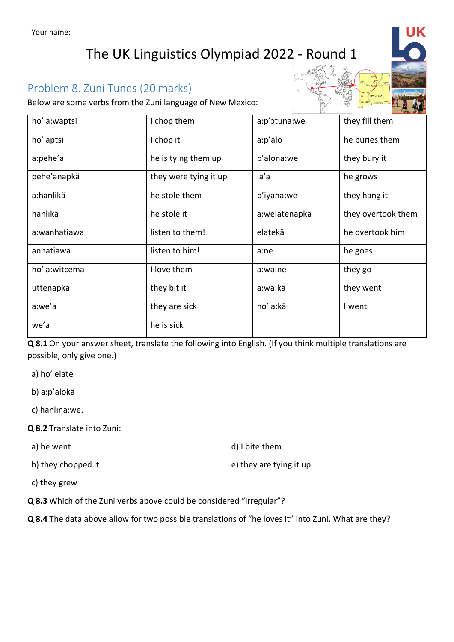## The UK Linguistics Olympiad 2022 - Round 1

## Problem 8. Zuni Tunes (20 marks)

Below are some verbs from the Zuni language of New Mexico:

| ho' a:waptsi  | I chop them           | a:p'otuna:we  | they fill them     |
|---------------|-----------------------|---------------|--------------------|
| ho' aptsi     | I chop it             | a:p'alo       | he buries them     |
| a:pehe'a      | he is tying them up   | p'alona:we    | they bury it       |
| pehe'anapkä   | they were tying it up | la'a          | he grows           |
| a:hanlikä     | he stole them         | p'iyana:we    | they hang it       |
| hanlikä       | he stole it           | a:welatenapkä | they overtook them |
| a:wanhatiawa  | listen to them!       | elatekä       | he overtook him    |
| anhatiawa     | listen to him!        | a:ne          | he goes            |
| ho' a:witcema | I love them           | a:wa:ne       | they go            |
| uttenapkä     | they bit it           | a:wa:kä       | they went          |
| a:we'a        | they are sick         | ho' a:kä      | I went             |
| we'a          | he is sick            |               |                    |

**Q 8.1** On your answer sheet, translate the following into English. (If you think multiple translations are possible, only give one.)

a) ho' elate

b) a:p'alokä

c) hanlina:we.

**Q 8.2** Translate into Zuni:

a) he went d) I bite them

b) they chopped it e) they are tying it up

c) they grew

**Q 8.3** Which of the Zuni verbs above could be considered "irregular"?

**Q 8.4** The data above allow for two possible translations of "he loves it" into Zuni. What are they?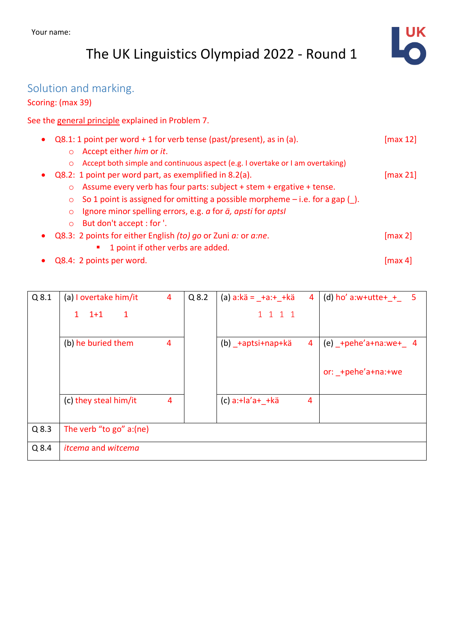# The UK Linguistics Olympiad 2022 - Round 1



## Solution and marking.

### Scoring: (max 39)

See the general principle explained in Problem 7.

|                                      | $Q8.1:1$ point per word + 1 for verb tense (past/present), as in (a).         | $\lceil \max 12 \rceil$ |
|--------------------------------------|-------------------------------------------------------------------------------|-------------------------|
| Accept either him or it.<br>$\circ$  |                                                                               |                         |
| $\circ$                              | Accept both simple and continuous aspect (e.g. I overtake or I am overtaking) |                         |
|                                      | Q8.2: 1 point per word part, as exemplified in 8.2(a).                        | $\lceil \max 21 \rceil$ |
|                                      | o Assume every verb has four parts: subject + stem + ergative + tense.        |                         |
| $\circ$                              | So 1 point is assigned for omitting a possible morpheme $-i.e.$ for a gap (). |                         |
| $\circ$                              | Ignore minor spelling errors, e.g. a for ä, apsti for aptsl                   |                         |
| But don't accept : for '.<br>$\circ$ |                                                                               |                         |
| $\bullet$                            | Q8.3: 2 points for either English (to) go or Zuni a: or a:ne.                 | $\lceil \max 2 \rceil$  |
|                                      | 1 point if other verbs are added.                                             |                         |
| Q8.4: 2 points per word.             |                                                                               | $\left[\max 4\right]$   |

| $Q$ 8.1 | (a) I overtake him/it                 | 4 | $Q$ 8.2 | (a) $a: k \ddot{a} = \_ + a: + \_ + k \ddot{a}$ | 4 | (d) ho' a:w+utte+ $+$ 5 |
|---------|---------------------------------------|---|---------|-------------------------------------------------|---|-------------------------|
|         | $1+1$<br>$\mathbf{1}$<br>$\mathbf{1}$ |   |         | 1 1 1 1                                         |   |                         |
|         | (b) he buried them                    | 4 |         | (b) +aptsi+nap+kä                               | 4 | (e) +pehe'a+na:we+ $4$  |
|         |                                       |   |         |                                                 |   | or: +pehe'a+na:+we      |
|         | (c) they steal him/it                 | 4 |         | $(c) a:= a'a++k\ddot{a}$                        | 4 |                         |
| $Q$ 8.3 | The verb "to go" a:(ne)               |   |         |                                                 |   |                         |
| $Q$ 8.4 | <i>itcema</i> and witcema             |   |         |                                                 |   |                         |